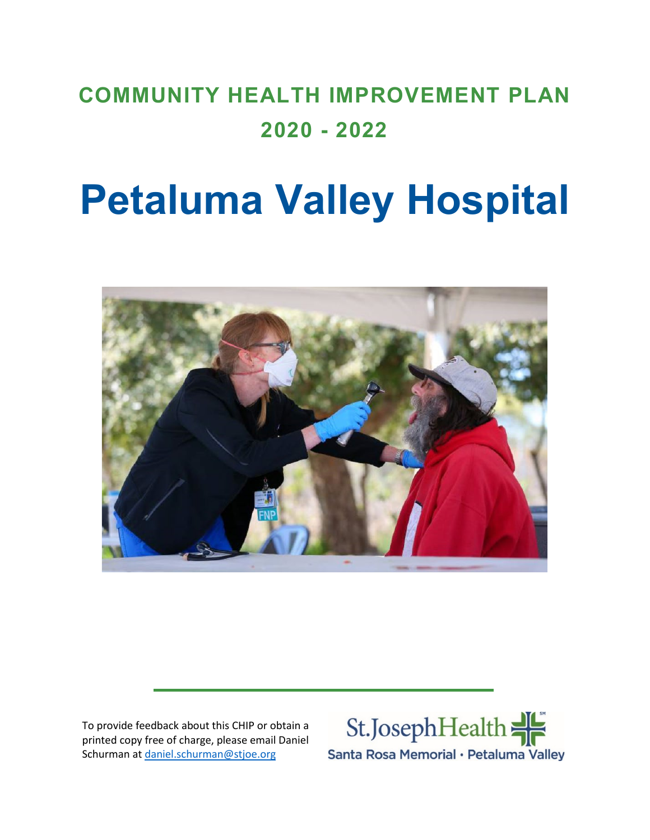## **COMMUNITY HEALTH IMPROVEMENT PLAN 2020 - 2022**

# **Petaluma Valley Hospital**



To provide feedback about this CHIP or obtain a printed copy free of charge, please email Daniel Schurman at [daniel.schurman@stjoe.org](mailto:daniel.schurman@stjoe.org)

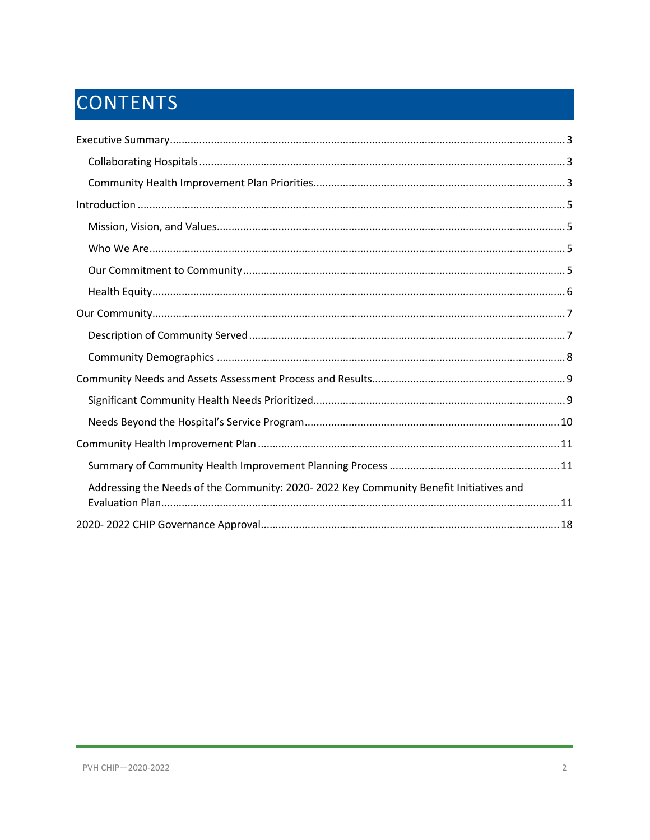## CONTENTS

| Addressing the Needs of the Community: 2020-2022 Key Community Benefit Initiatives and |
|----------------------------------------------------------------------------------------|
|                                                                                        |
|                                                                                        |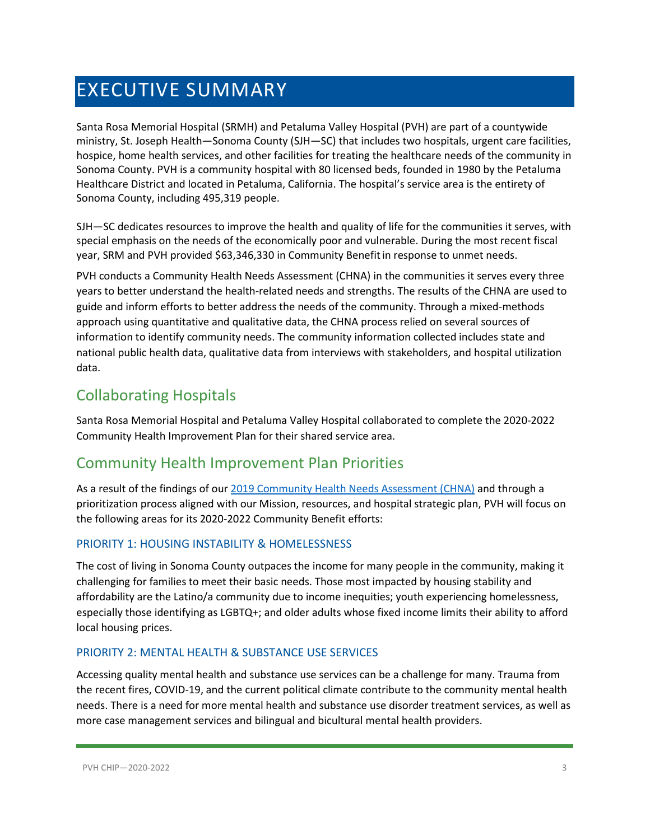## <span id="page-2-0"></span>EXECUTIVE SUMMARY

Santa Rosa Memorial Hospital (SRMH) and Petaluma Valley Hospital (PVH) are part of a countywide ministry, St. Joseph Health—Sonoma County (SJH—SC) that includes two hospitals, urgent care facilities, hospice, home health services, and other facilities for treating the healthcare needs of the community in Sonoma County. PVH is a community hospital with 80 licensed beds, founded in 1980 by the Petaluma Healthcare District and located in Petaluma, California. The hospital's service area is the entirety of Sonoma County, including 495,319 people.

SJH—SC dedicates resources to improve the health and quality of life for the communities it serves, with special emphasis on the needs of the economically poor and vulnerable. During the most recent fiscal year, SRM and PVH provided \$63,346,330 in Community Benefitin response to unmet needs.

PVH conducts a Community Health Needs Assessment (CHNA) in the communities it serves every three years to better understand the health-related needs and strengths. The results of the CHNA are used to guide and inform efforts to better address the needs of the community. Through a mixed-methods approach using quantitative and qualitative data, the CHNA process relied on several sources of information to identify community needs. The community information collected includes state and national public health data, qualitative data from interviews with stakeholders, and hospital utilization data.

## <span id="page-2-1"></span>Collaborating Hospitals

Santa Rosa Memorial Hospital and Petaluma Valley Hospital collaborated to complete the 2020-2022 Community Health Improvement Plan for their shared service area.

## <span id="page-2-2"></span>Community Health Improvement Plan Priorities

As a result of the findings of our [2019 Community Health Needs Assessment \(CHNA\)](https://www.providence.org/-/media/Project/psjh/providence/socal/Files/about/community-benefit/reports/2019chna-sonomacounty.pdf?la=en&hash=FF8B2A7021D9CDBC4EE6FF1446254E4B) and through a prioritization process aligned with our Mission, resources, and hospital strategic plan, PVH will focus on the following areas for its 2020-2022 Community Benefit efforts:

#### PRIORITY 1: HOUSING INSTABILITY & HOMELESSNESS

The cost of living in Sonoma County outpaces the income for many people in the community, making it challenging for families to meet their basic needs. Those most impacted by housing stability and affordability are the Latino/a community due to income inequities; youth experiencing homelessness, especially those identifying as LGBTQ+; and older adults whose fixed income limits their ability to afford local housing prices.

#### PRIORITY 2: MENTAL HEALTH & SUBSTANCE USE SERVICES

Accessing quality mental health and substance use services can be a challenge for many. Trauma from the recent fires, COVID-19, and the current political climate contribute to the community mental health needs. There is a need for more mental health and substance use disorder treatment services, as well as more case management services and bilingual and bicultural mental health providers.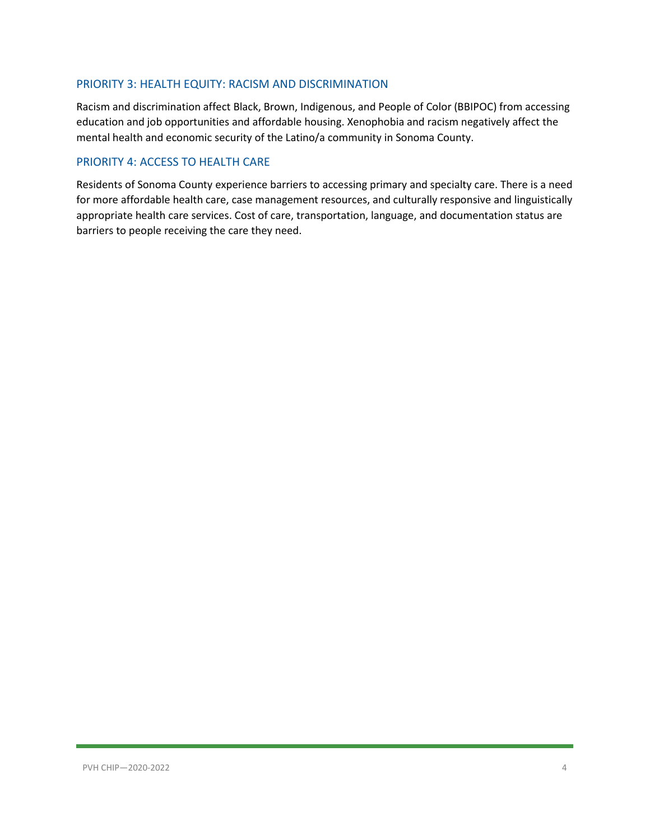#### PRIORITY 3: HEALTH EQUITY: RACISM AND DISCRIMINATION

Racism and discrimination affect Black, Brown, Indigenous, and People of Color (BBIPOC) from accessing education and job opportunities and affordable housing. Xenophobia and racism negatively affect the mental health and economic security of the Latino/a community in Sonoma County.

#### PRIORITY 4: ACCESS TO HEALTH CARE

Residents of Sonoma County experience barriers to accessing primary and specialty care. There is a need for more affordable health care, case management resources, and culturally responsive and linguistically appropriate health care services. Cost of care, transportation, language, and documentation status are barriers to people receiving the care they need.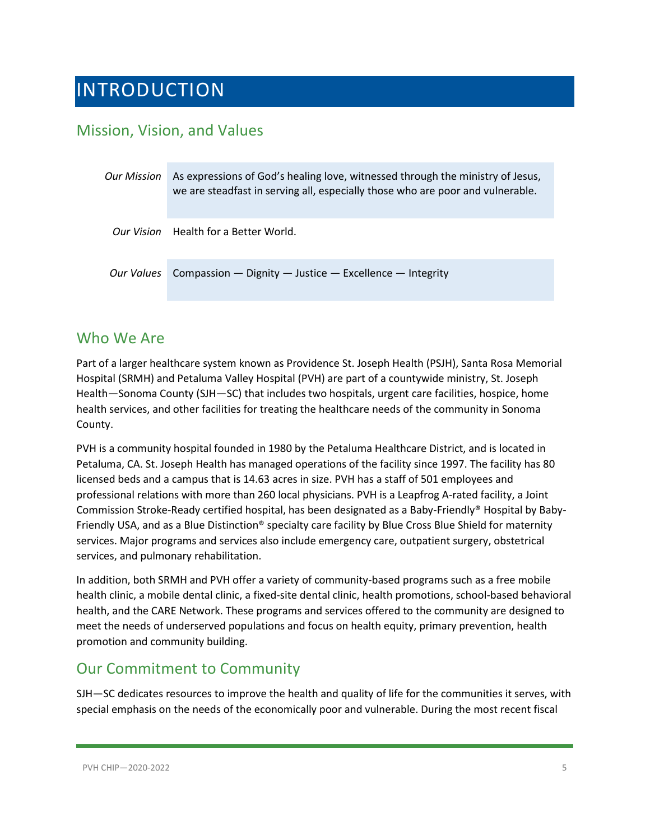## <span id="page-4-0"></span>INTRODUCTION

### <span id="page-4-1"></span>Mission, Vision, and Values

| <b>Our Mission</b> | As expressions of God's healing love, witnessed through the ministry of Jesus,<br>we are steadfast in serving all, especially those who are poor and vulnerable. |
|--------------------|------------------------------------------------------------------------------------------------------------------------------------------------------------------|
|                    | Our Vision Health for a Better World.                                                                                                                            |
| Our Values         | Compassion $-$ Dignity $-$ Justice $-$ Excellence $-$ Integrity                                                                                                  |

### <span id="page-4-2"></span>Who We Are

Part of a larger healthcare system known as Providence St. Joseph Health (PSJH), Santa Rosa Memorial Hospital (SRMH) and Petaluma Valley Hospital (PVH) are part of a countywide ministry, St. Joseph Health—Sonoma County (SJH—SC) that includes two hospitals, urgent care facilities, hospice, home health services, and other facilities for treating the healthcare needs of the community in Sonoma County.

PVH is a community hospital founded in 1980 by the Petaluma Healthcare District, and is located in Petaluma, CA. St. Joseph Health has managed operations of the facility since 1997. The facility has 80 licensed beds and a campus that is 14.63 acres in size. PVH has a staff of 501 employees and professional relations with more than 260 local physicians. PVH is a Leapfrog A-rated facility, a Joint Commission Stroke-Ready certified hospital, has been designated as a Baby-Friendly® Hospital by Baby-Friendly USA, and as a Blue Distinction® specialty care facility by Blue Cross Blue Shield for maternity services. Major programs and services also include emergency care, outpatient surgery, obstetrical services, and pulmonary rehabilitation.

In addition, both SRMH and PVH offer a variety of community-based programs such as a free mobile health clinic, a mobile dental clinic, a fixed-site dental clinic, health promotions, school-based behavioral health, and the CARE Network. These programs and services offered to the community are designed to meet the needs of underserved populations and focus on health equity, primary prevention, health promotion and community building.

## <span id="page-4-3"></span>Our Commitment to Community

SJH—SC dedicates resources to improve the health and quality of life for the communities it serves, with special emphasis on the needs of the economically poor and vulnerable. During the most recent fiscal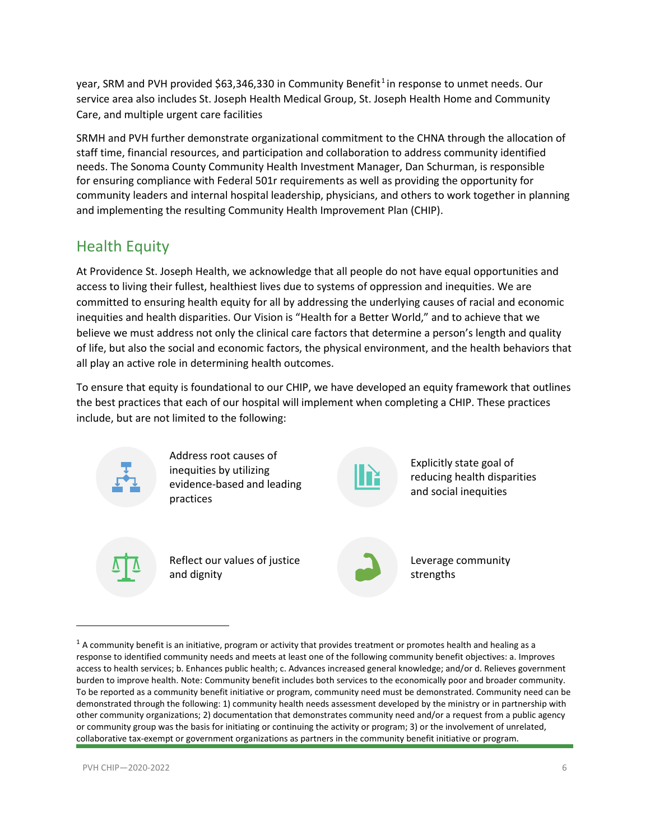year, SRM and PVH provided \$63,346,330 in Community Benefit<sup>[1](#page-5-1)</sup> in response to unmet needs. Our service area also includes St. Joseph Health Medical Group, St. Joseph Health Home and Community Care, and multiple urgent care facilities

SRMH and PVH further demonstrate organizational commitment to the CHNA through the allocation of staff time, financial resources, and participation and collaboration to address community identified needs. The Sonoma County Community Health Investment Manager, Dan Schurman, is responsible for ensuring compliance with Federal 501r requirements as well as providing the opportunity for community leaders and internal hospital leadership, physicians, and others to work together in planning and implementing the resulting Community Health Improvement Plan (CHIP).

## <span id="page-5-0"></span>Health Equity

At Providence St. Joseph Health, we acknowledge that all people do not have equal opportunities and access to living their fullest, healthiest lives due to systems of oppression and inequities. We are committed to ensuring health equity for all by addressing the underlying causes of racial and economic inequities and health disparities. Our Vision is "Health for a Better World," and to achieve that we believe we must address not only the clinical care factors that determine a person's length and quality of life, but also the social and economic factors, the physical environment, and the health behaviors that all play an active role in determining health outcomes.

To ensure that equity is foundational to our CHIP, we have developed an equity framework that outlines the best practices that each of our hospital will implement when completing a CHIP. These practices include, but are not limited to the following:



<span id="page-5-1"></span> $1$  A community benefit is an initiative, program or activity that provides treatment or promotes health and healing as a response to identified community needs and meets at least one of the following community benefit objectives: a. Improves access to health services; b. Enhances public health; c. Advances increased general knowledge; and/or d. Relieves government burden to improve health. Note: Community benefit includes both services to the economically poor and broader community. To be reported as a community benefit initiative or program, community need must be demonstrated. Community need can be demonstrated through the following: 1) community health needs assessment developed by the ministry or in partnership with other community organizations; 2) documentation that demonstrates community need and/or a request from a public agency or community group was the basis for initiating or continuing the activity or program; 3) or the involvement of unrelated, collaborative tax-exempt or government organizations as partners in the community benefit initiative or program.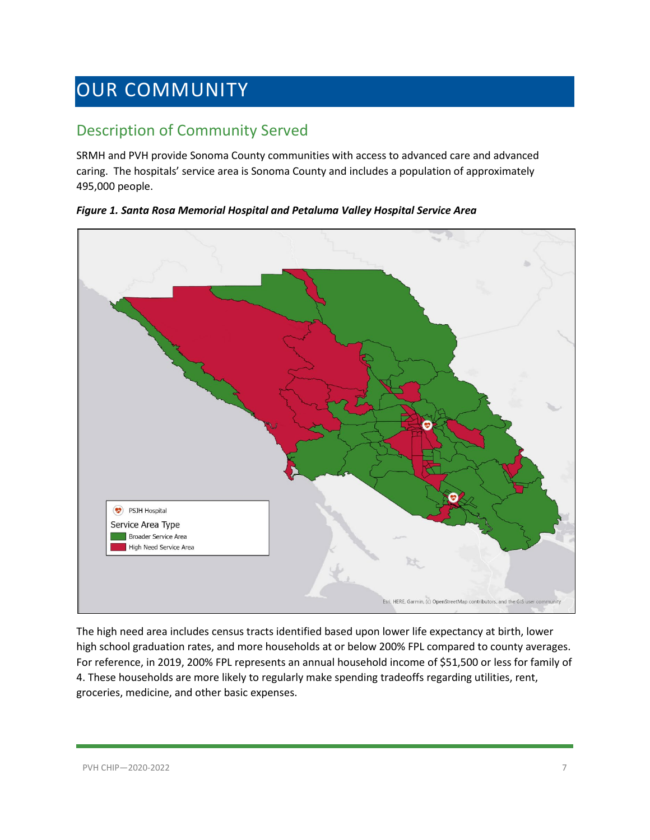## <span id="page-6-0"></span>OUR COMMUNITY

## <span id="page-6-1"></span>Description of Community Served

SRMH and PVH provide Sonoma County communities with access to advanced care and advanced caring. The hospitals' service area is Sonoma County and includes a population of approximately 495,000 people.



*Figure 1. Santa Rosa Memorial Hospital and Petaluma Valley Hospital Service Area*

The high need area includes census tracts identified based upon lower life expectancy at birth, lower high school graduation rates, and more households at or below 200% FPL compared to county averages. For reference, in 2019, 200% FPL represents an annual household income of \$51,500 or less for family of 4. These households are more likely to regularly make spending tradeoffs regarding utilities, rent, groceries, medicine, and other basic expenses.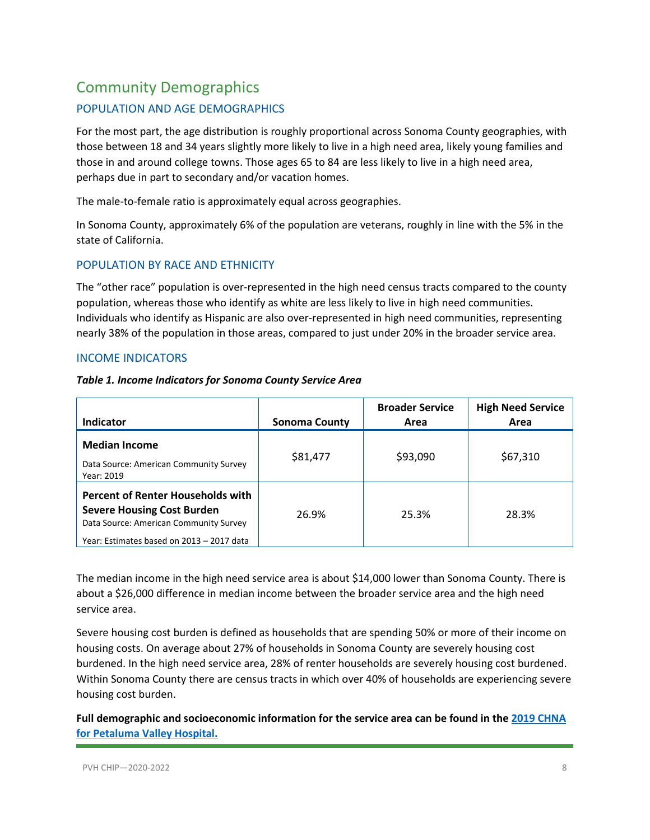## <span id="page-7-0"></span>Community Demographics

#### POPULATION AND AGE DEMOGRAPHICS

For the most part, the age distribution is roughly proportional across Sonoma County geographies, with those between 18 and 34 years slightly more likely to live in a high need area, likely young families and those in and around college towns. Those ages 65 to 84 are less likely to live in a high need area, perhaps due in part to secondary and/or vacation homes.

The male-to-female ratio is approximately equal across geographies.

In Sonoma County, approximately 6% of the population are veterans, roughly in line with the 5% in the state of California.

#### POPULATION BY RACE AND ETHNICITY

The "other race" population is over-represented in the high need census tracts compared to the county population, whereas those who identify as white are less likely to live in high need communities. Individuals who identify as Hispanic are also over-represented in high need communities, representing nearly 38% of the population in those areas, compared to just under 20% in the broader service area.

#### INCOME INDICATORS

| Table 1. Income Indicators for Sonoma County Service Area |
|-----------------------------------------------------------|
|-----------------------------------------------------------|

| <b>Indicator</b>                                                                                                                                                     | <b>Sonoma County</b> | <b>Broader Service</b><br>Area | <b>High Need Service</b><br>Area |
|----------------------------------------------------------------------------------------------------------------------------------------------------------------------|----------------------|--------------------------------|----------------------------------|
| <b>Median Income</b><br>Data Source: American Community Survey<br>Year: 2019                                                                                         | \$81,477             | \$93,090                       | \$67,310                         |
| <b>Percent of Renter Households with</b><br><b>Severe Housing Cost Burden</b><br>Data Source: American Community Survey<br>Year: Estimates based on 2013 - 2017 data | 26.9%                | 25.3%                          | 28.3%                            |

The median income in the high need service area is about \$14,000 lower than Sonoma County. There is about a \$26,000 difference in median income between the broader service area and the high need service area.

Severe housing cost burden is defined as households that are spending 50% or more of their income on housing costs. On average about 27% of households in Sonoma County are severely housing cost burdened. In the high need service area, 28% of renter households are severely housing cost burdened. Within Sonoma County there are census tracts in which over 40% of households are experiencing severe housing cost burden.

**Full demographic and socioeconomic information for the service area can be found in the [2019 CHNA](https://www.providence.org/-/media/Project/psjh/providence/socal/Files/about/community-benefit/reports/2019chna-sonomacounty.pdf?la=en&hash=FF8B2A7021D9CDBC4EE6FF1446254E4B)  [for Petaluma Valley Hospital.](https://www.providence.org/-/media/Project/psjh/providence/socal/Files/about/community-benefit/reports/2019chna-sonomacounty.pdf?la=en&hash=FF8B2A7021D9CDBC4EE6FF1446254E4B)**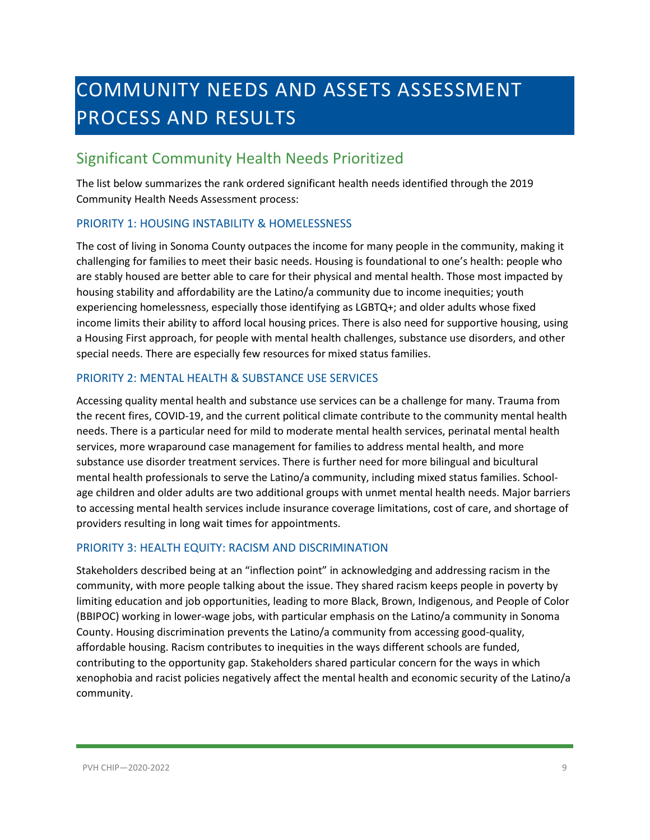## <span id="page-8-0"></span>COMMUNITY NEEDS AND ASSETS ASSESSMENT PROCESS AND RESULTS

### <span id="page-8-1"></span>Significant Community Health Needs Prioritized

The list below summarizes the rank ordered significant health needs identified through the 2019 Community Health Needs Assessment process:

#### PRIORITY 1: HOUSING INSTABILITY & HOMELESSNESS

The cost of living in Sonoma County outpaces the income for many people in the community, making it challenging for families to meet their basic needs. Housing is foundational to one's health: people who are stably housed are better able to care for their physical and mental health. Those most impacted by housing stability and affordability are the Latino/a community due to income inequities; youth experiencing homelessness, especially those identifying as LGBTQ+; and older adults whose fixed income limits their ability to afford local housing prices. There is also need for supportive housing, using a Housing First approach, for people with mental health challenges, substance use disorders, and other special needs. There are especially few resources for mixed status families.

#### PRIORITY 2: MENTAL HEALTH & SUBSTANCE USE SERVICES

Accessing quality mental health and substance use services can be a challenge for many. Trauma from the recent fires, COVID-19, and the current political climate contribute to the community mental health needs. There is a particular need for mild to moderate mental health services, perinatal mental health services, more wraparound case management for families to address mental health, and more substance use disorder treatment services. There is further need for more bilingual and bicultural mental health professionals to serve the Latino/a community, including mixed status families. Schoolage children and older adults are two additional groups with unmet mental health needs. Major barriers to accessing mental health services include insurance coverage limitations, cost of care, and shortage of providers resulting in long wait times for appointments.

#### PRIORITY 3: HEALTH EQUITY: RACISM AND DISCRIMINATION

Stakeholders described being at an "inflection point" in acknowledging and addressing racism in the community, with more people talking about the issue. They shared racism keeps people in poverty by limiting education and job opportunities, leading to more Black, Brown, Indigenous, and People of Color (BBIPOC) working in lower-wage jobs, with particular emphasis on the Latino/a community in Sonoma County. Housing discrimination prevents the Latino/a community from accessing good-quality, affordable housing. Racism contributes to inequities in the ways different schools are funded, contributing to the opportunity gap. Stakeholders shared particular concern for the ways in which xenophobia and racist policies negatively affect the mental health and economic security of the Latino/a community.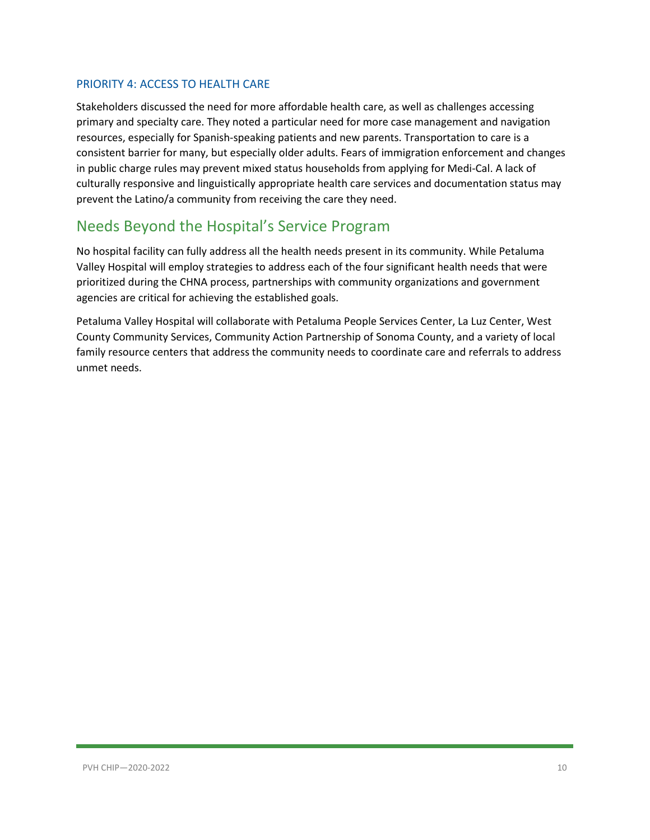#### PRIORITY 4: ACCESS TO HEALTH CARE

Stakeholders discussed the need for more affordable health care, as well as challenges accessing primary and specialty care. They noted a particular need for more case management and navigation resources, especially for Spanish-speaking patients and new parents. Transportation to care is a consistent barrier for many, but especially older adults. Fears of immigration enforcement and changes in public charge rules may prevent mixed status households from applying for Medi-Cal. A lack of culturally responsive and linguistically appropriate health care services and documentation status may prevent the Latino/a community from receiving the care they need.

### <span id="page-9-0"></span>Needs Beyond the Hospital's Service Program

No hospital facility can fully address all the health needs present in its community. While Petaluma Valley Hospital will employ strategies to address each of the four significant health needs that were prioritized during the CHNA process, partnerships with community organizations and government agencies are critical for achieving the established goals.

Petaluma Valley Hospital will collaborate with Petaluma People Services Center, La Luz Center, West County Community Services, Community Action Partnership of Sonoma County, and a variety of local family resource centers that address the community needs to coordinate care and referrals to address unmet needs.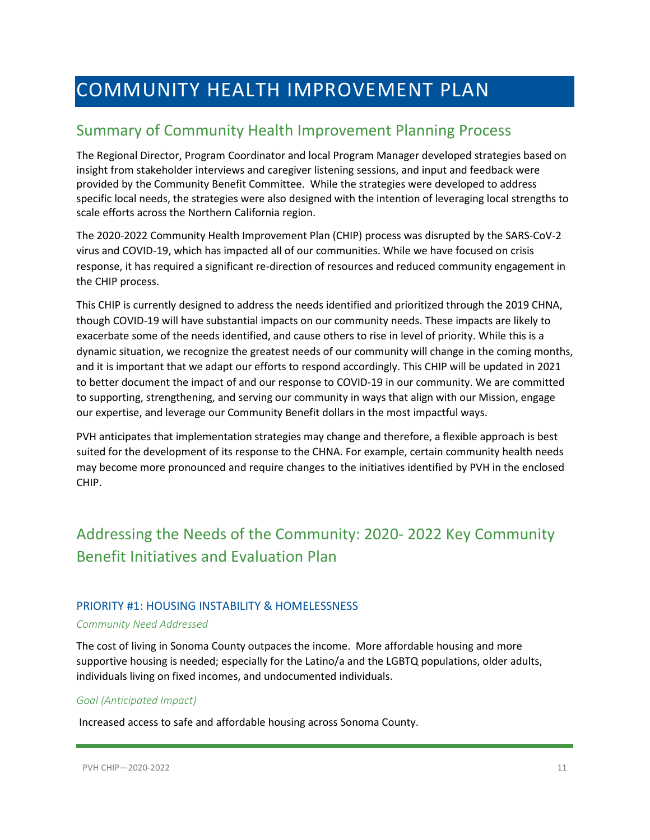## <span id="page-10-0"></span>COMMUNITY HEALTH IMPROVEMENT PLAN

### <span id="page-10-1"></span>Summary of Community Health Improvement Planning Process

The Regional Director, Program Coordinator and local Program Manager developed strategies based on insight from stakeholder interviews and caregiver listening sessions, and input and feedback were provided by the Community Benefit Committee. While the strategies were developed to address specific local needs, the strategies were also designed with the intention of leveraging local strengths to scale efforts across the Northern California region.

The 2020-2022 Community Health Improvement Plan (CHIP) process was disrupted by the SARS-CoV-2 virus and COVID-19, which has impacted all of our communities. While we have focused on crisis response, it has required a significant re-direction of resources and reduced community engagement in the CHIP process.

This CHIP is currently designed to address the needs identified and prioritized through the 2019 CHNA, though COVID-19 will have substantial impacts on our community needs. These impacts are likely to exacerbate some of the needs identified, and cause others to rise in level of priority. While this is a dynamic situation, we recognize the greatest needs of our community will change in the coming months, and it is important that we adapt our efforts to respond accordingly. This CHIP will be updated in 2021 to better document the impact of and our response to COVID-19 in our community. We are committed to supporting, strengthening, and serving our community in ways that align with our Mission, engage our expertise, and leverage our Community Benefit dollars in the most impactful ways.

PVH anticipates that implementation strategies may change and therefore, a flexible approach is best suited for the development of its response to the CHNA. For example, certain community health needs may become more pronounced and require changes to the initiatives identified by PVH in the enclosed CHIP.

## <span id="page-10-2"></span>Addressing the Needs of the Community: 2020- 2022 Key Community Benefit Initiatives and Evaluation Plan

#### PRIORITY #1: HOUSING INSTABILITY & HOMELESSNESS

#### *Community Need Addressed*

The cost of living in Sonoma County outpaces the income. More affordable housing and more supportive housing is needed; especially for the Latino/a and the LGBTQ populations, older adults, individuals living on fixed incomes, and undocumented individuals.

#### *Goal (Anticipated Impact)*

Increased access to safe and affordable housing across Sonoma County.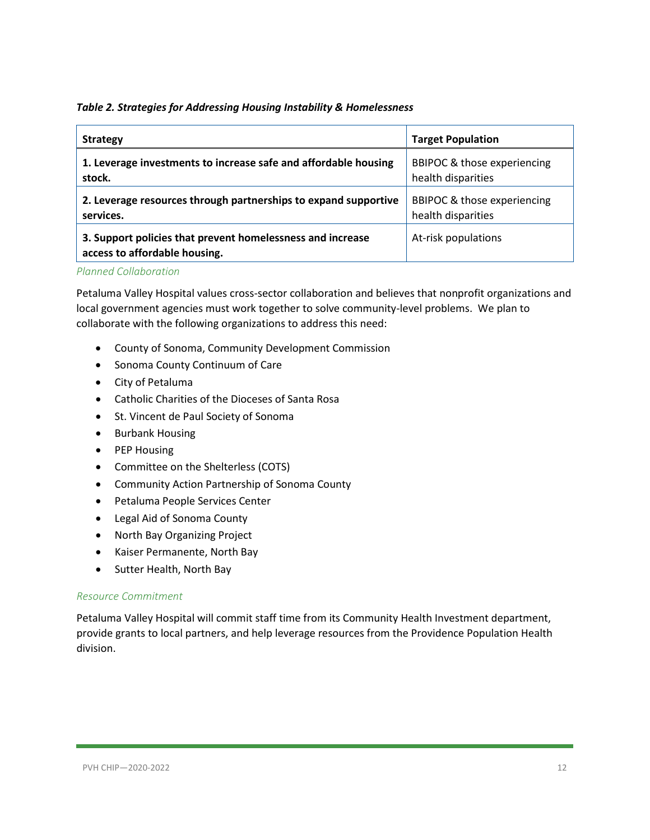#### *Table 2. Strategies for Addressing Housing Instability & Homelessness*

| <b>Strategy</b>                                                                             | <b>Target Population</b>    |
|---------------------------------------------------------------------------------------------|-----------------------------|
| 1. Leverage investments to increase safe and affordable housing                             | BBIPOC & those experiencing |
| stock.                                                                                      | health disparities          |
| 2. Leverage resources through partnerships to expand supportive                             | BBIPOC & those experiencing |
| services.                                                                                   | health disparities          |
| 3. Support policies that prevent homelessness and increase<br>access to affordable housing. | At-risk populations         |

#### *Planned Collaboration*

Petaluma Valley Hospital values cross-sector collaboration and believes that nonprofit organizations and local government agencies must work together to solve community-level problems. We plan to collaborate with the following organizations to address this need:

- County of Sonoma, Community Development Commission
- Sonoma County Continuum of Care
- City of Petaluma
- Catholic Charities of the Dioceses of Santa Rosa
- St. Vincent de Paul Society of Sonoma
- Burbank Housing
- PEP Housing
- Committee on the Shelterless (COTS)
- Community Action Partnership of Sonoma County
- Petaluma People Services Center
- Legal Aid of Sonoma County
- North Bay Organizing Project
- Kaiser Permanente, North Bay
- Sutter Health, North Bay

#### *Resource Commitment*

Petaluma Valley Hospital will commit staff time from its Community Health Investment department, provide grants to local partners, and help leverage resources from the Providence Population Health division.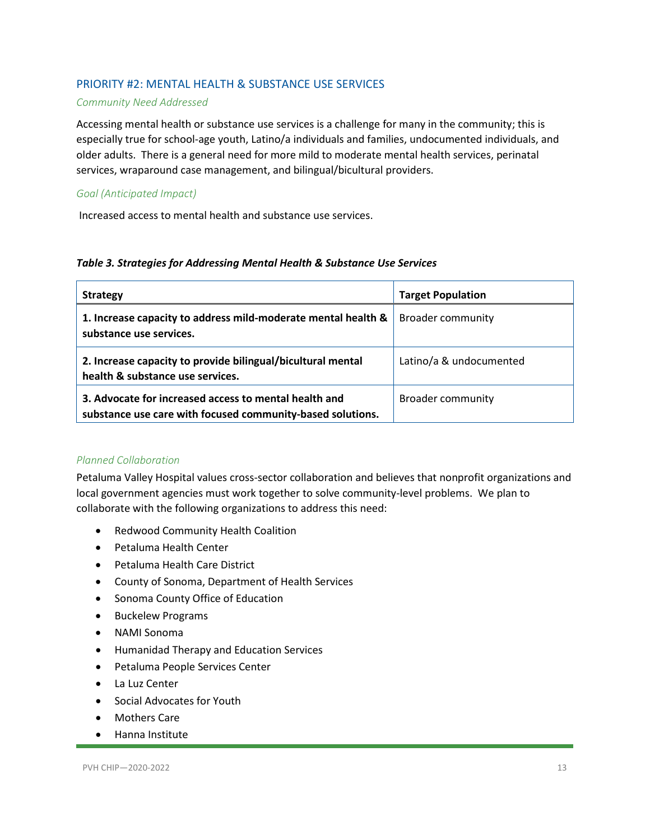#### PRIORITY #2: MENTAL HEALTH & SUBSTANCE USE SERVICES

#### *Community Need Addressed*

Accessing mental health or substance use services is a challenge for many in the community; this is especially true for school-age youth, Latino/a individuals and families, undocumented individuals, and older adults. There is a general need for more mild to moderate mental health services, perinatal services, wraparound case management, and bilingual/bicultural providers.

#### *Goal (Anticipated Impact)*

Increased access to mental health and substance use services.

#### *Table 3. Strategies for Addressing Mental Health & Substance Use Services*

| <b>Strategy</b>                                                                                                     | <b>Target Population</b> |
|---------------------------------------------------------------------------------------------------------------------|--------------------------|
| 1. Increase capacity to address mild-moderate mental health &<br>substance use services.                            | <b>Broader community</b> |
| 2. Increase capacity to provide bilingual/bicultural mental<br>health & substance use services.                     | Latino/a & undocumented  |
| 3. Advocate for increased access to mental health and<br>substance use care with focused community-based solutions. | <b>Broader community</b> |

#### *Planned Collaboration*

Petaluma Valley Hospital values cross-sector collaboration and believes that nonprofit organizations and local government agencies must work together to solve community-level problems. We plan to collaborate with the following organizations to address this need:

- Redwood Community Health Coalition
- Petaluma Health Center
- Petaluma Health Care District
- County of Sonoma, Department of Health Services
- Sonoma County Office of Education
- Buckelew Programs
- NAMI Sonoma
- Humanidad Therapy and Education Services
- Petaluma People Services Center
- La Luz Center
- Social Advocates for Youth
- Mothers Care
- Hanna Institute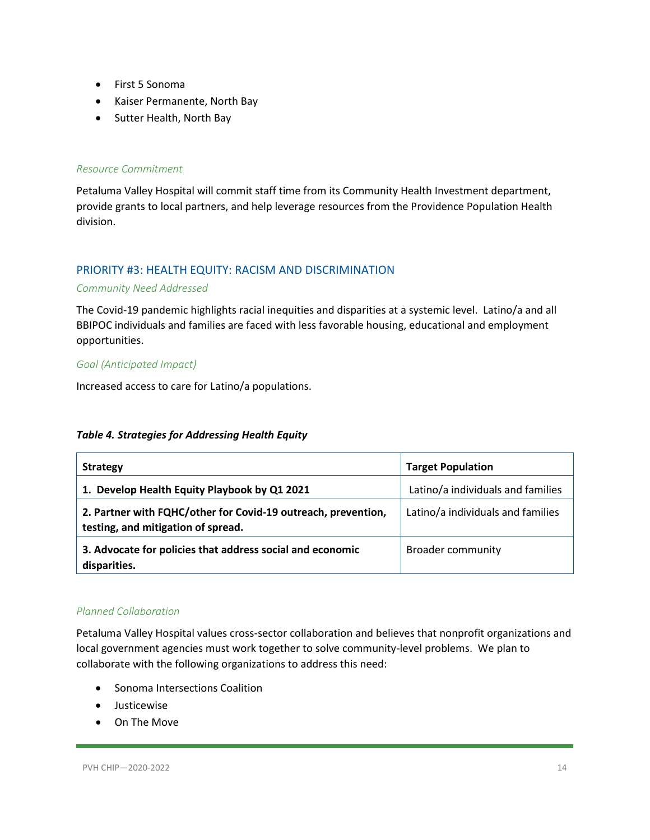- First 5 Sonoma
- Kaiser Permanente, North Bay
- Sutter Health, North Bay

#### *Resource Commitment*

Petaluma Valley Hospital will commit staff time from its Community Health Investment department, provide grants to local partners, and help leverage resources from the Providence Population Health division.

#### PRIORITY #3: HEALTH EQUITY: RACISM AND DISCRIMINATION

#### *Community Need Addressed*

The Covid-19 pandemic highlights racial inequities and disparities at a systemic level. Latino/a and all BBIPOC individuals and families are faced with less favorable housing, educational and employment opportunities.

#### *Goal (Anticipated Impact)*

Increased access to care for Latino/a populations.

#### *Table 4. Strategies for Addressing Health Equity*

| <b>Strategy</b>                                                                                     | <b>Target Population</b>          |
|-----------------------------------------------------------------------------------------------------|-----------------------------------|
| 1. Develop Health Equity Playbook by Q1 2021                                                        | Latino/a individuals and families |
| 2. Partner with FQHC/other for Covid-19 outreach, prevention,<br>testing, and mitigation of spread. | Latino/a individuals and families |
| 3. Advocate for policies that address social and economic<br>disparities.                           | <b>Broader community</b>          |

#### *Planned Collaboration*

Petaluma Valley Hospital values cross-sector collaboration and believes that nonprofit organizations and local government agencies must work together to solve community-level problems. We plan to collaborate with the following organizations to address this need:

- Sonoma Intersections Coalition
- Justicewise
- On The Move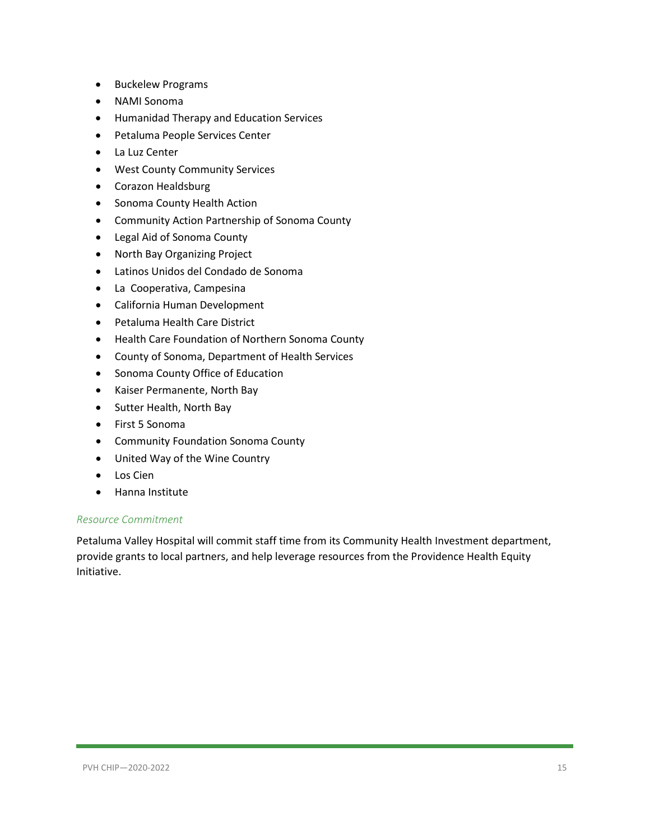- Buckelew Programs
- NAMI Sonoma
- Humanidad Therapy and Education Services
- Petaluma People Services Center
- La Luz Center
- West County Community Services
- Corazon Healdsburg
- Sonoma County Health Action
- Community Action Partnership of Sonoma County
- Legal Aid of Sonoma County
- North Bay Organizing Project
- Latinos Unidos del Condado de Sonoma
- La Cooperativa, Campesina
- California Human Development
- Petaluma Health Care District
- Health Care Foundation of Northern Sonoma County
- County of Sonoma, Department of Health Services
- Sonoma County Office of Education
- Kaiser Permanente, North Bay
- Sutter Health, North Bay
- First 5 Sonoma
- Community Foundation Sonoma County
- United Way of the Wine Country
- Los Cien
- Hanna Institute

#### *Resource Commitment*

Petaluma Valley Hospital will commit staff time from its Community Health Investment department, provide grants to local partners, and help leverage resources from the Providence Health Equity Initiative.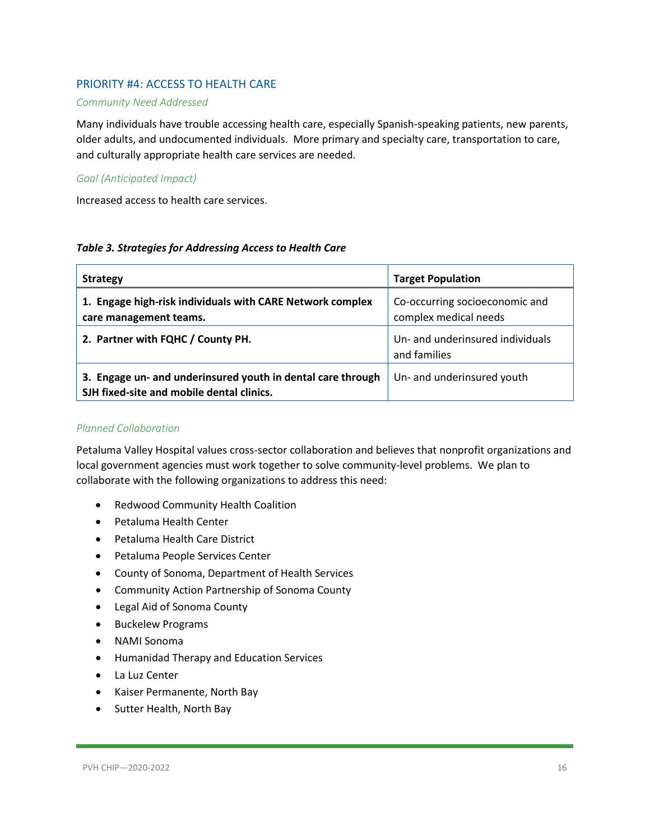#### PRIORITY #4: ACCESS TO HEALTH CARE

#### *Community Need Addressed*

Many individuals have trouble accessing health care, especially Spanish-speaking patients, new parents, older adults, and undocumented individuals. More primary and specialty care, transportation to care, and culturally appropriate health care services are needed.

#### *Goal (Anticipated Impact)*

Increased access to health care services.

#### *Table 3. Strategies for Addressing Access to Health Care*

| <b>Strategy</b>                                                                                          | <b>Target Population</b>                                |
|----------------------------------------------------------------------------------------------------------|---------------------------------------------------------|
| 1. Engage high-risk individuals with CARE Network complex<br>care management teams.                      | Co-occurring socioeconomic and<br>complex medical needs |
| 2. Partner with FQHC / County PH.                                                                        | Un- and underinsured individuals<br>and families        |
| 3. Engage un- and underinsured youth in dental care through<br>SJH fixed-site and mobile dental clinics. | Un- and underinsured youth                              |

#### *Planned Collaboration*

Petaluma Valley Hospital values cross-sector collaboration and believes that nonprofit organizations and local government agencies must work together to solve community-level problems. We plan to collaborate with the following organizations to address this need:

- Redwood Community Health Coalition
- Petaluma Health Center
- Petaluma Health Care District
- Petaluma People Services Center
- County of Sonoma, Department of Health Services
- Community Action Partnership of Sonoma County
- Legal Aid of Sonoma County
- Buckelew Programs
- NAMI Sonoma
- Humanidad Therapy and Education Services
- La Luz Center
- Kaiser Permanente, North Bay
- Sutter Health, North Bay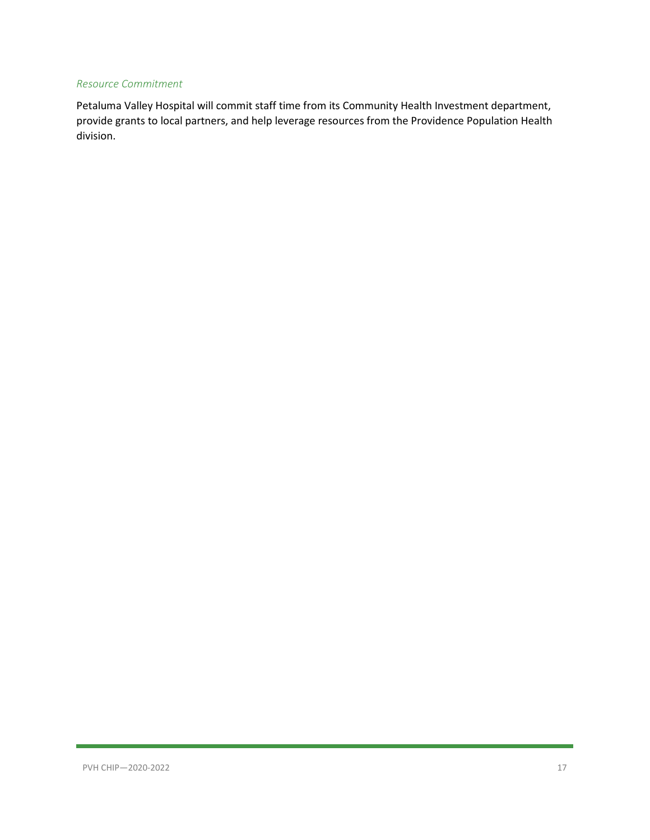#### *Resource Commitment*

Petaluma Valley Hospital will commit staff time from its Community Health Investment department, provide grants to local partners, and help leverage resources from the Providence Population Health division.